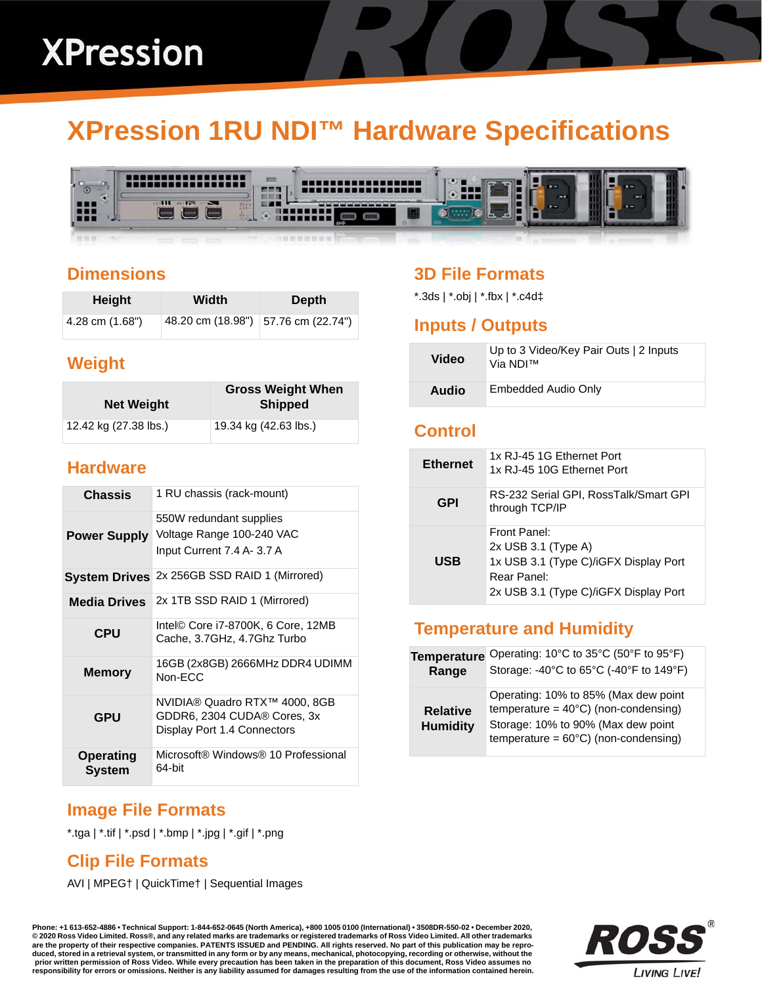# **XPression 1RU NDI™ Hardware Specifications**



#### **Dimensions**

| Height          | Width | <b>Depth</b>                          |
|-----------------|-------|---------------------------------------|
| 4.28 cm (1.68") |       | 48.20 cm (18.98")   57.76 cm (22.74") |

### **Weight**

| <b>Net Weight</b>     | <b>Gross Weight When</b><br><b>Shipped</b> |
|-----------------------|--------------------------------------------|
| 12.42 kg (27.38 lbs.) | 19.34 kg (42.63 lbs.)                      |

#### **Hardware**

| <b>Chassis</b>             | 1 RU chassis (rack-mount)                                                                   |
|----------------------------|---------------------------------------------------------------------------------------------|
| <b>Power Supply</b>        | 550W redundant supplies<br>Voltage Range 100-240 VAC<br>Input Current 7.4 A- 3.7 A          |
|                            | System Drives 2x 256GB SSD RAID 1 (Mirrored)                                                |
| <b>Media Drives</b>        | 2x 1TB SSD RAID 1 (Mirrored)                                                                |
| <b>CPU</b>                 | Intel© Core i7-8700K, 6 Core, 12MB<br>Cache, 3.7GHz, 4.7Ghz Turbo                           |
| <b>Memory</b>              | 16GB (2x8GB) 2666MHz DDR4 UDIMM<br>Non-ECC                                                  |
| <b>GPU</b>                 | NVIDIA® Quadro RTX™ 4000, 8GB<br>GDDR6, 2304 CUDA® Cores, 3x<br>Display Port 1.4 Connectors |
| <b>Operating</b><br>System | Microsoft® Windows® 10 Professional<br>64-bit                                               |

# **3D File Formats**

\*.3ds | \*.obj | \*.fbx | \*.c4d‡

#### **Inputs / Outputs**

| Video | Up to 3 Video/Key Pair Outs   2 Inputs<br>Via NDI™ |
|-------|----------------------------------------------------|
| Audio | Embedded Audio Only                                |

#### **Control**

| <b>Ethernet</b> | 1x RJ-45 1G Ethernet Port<br>1x RJ-45 10G Ethernet Port                                                                                |
|-----------------|----------------------------------------------------------------------------------------------------------------------------------------|
| <b>GPI</b>      | RS-232 Serial GPI, RossTalk/Smart GPI<br>through TCP/IP                                                                                |
| USB             | Front Panel:<br>$2x$ USB 3.1 (Type A)<br>1x USB 3.1 (Type C)/iGFX Display Port<br>Rear Panel:<br>2x USB 3.1 (Type C)/iGFX Display Port |

## **Temperature and Humidity**

| <b>Temperature</b>                 | Operating: 10°C to 35°C (50°F to 95°F)                                                                                                                                         |
|------------------------------------|--------------------------------------------------------------------------------------------------------------------------------------------------------------------------------|
| Range                              | Storage: -40°C to 65°C (-40°F to 149°F)                                                                                                                                        |
| <b>Relative</b><br><b>Humidity</b> | Operating: 10% to 85% (Max dew point<br>temperature = $40^{\circ}$ C) (non-condensing)<br>Storage: 10% to 90% (Max dew point<br>temperature = $60^{\circ}$ C) (non-condensing) |

### **Image File Formats**

\*.tga | \*.tif | \*.psd | \*.bmp | \*.jpg | \*.gif | \*.png

### **Clip File Formats**

AVI | MPEG† | QuickTime† | Sequential Images

**Phone: +1 613-652-4886 • Technical Support: 1-844-652-0645 (North America), +800 1005 0100 (International) • 3508DR-550-02 • December 2020, © 2020 Ross Video Limited. Ross®, and any related marks are trademarks or registered trademarks of Ross Video Limited. All other trademarks are the property of their respective companies. PATENTS ISSUED and PENDING. All rights reserved. No part of this publication may be repro**duced, stored in a retrieval system, or transmitted in any form or by any means, mechanical, photocopying, recording or otherwise, without the<br>prior written permission of Ross Video. While every precaution has been taken i